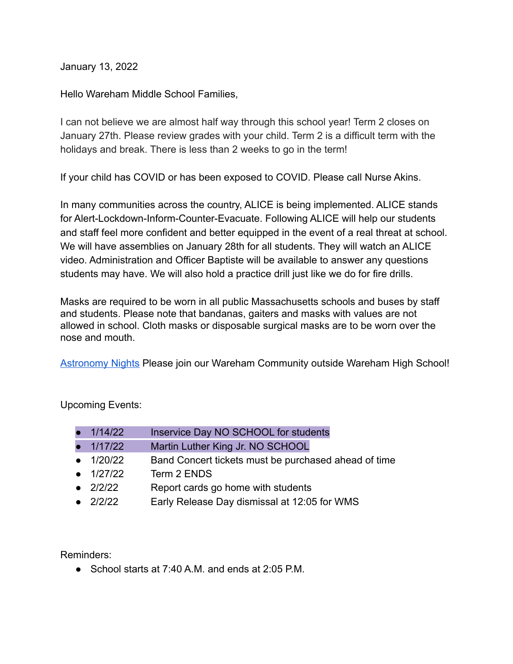January 13, 2022

Hello Wareham Middle School Families,

I can not believe we are almost half way through this school year! Term 2 closes on January 27th. Please review grades with your child. Term 2 is a difficult term with the holidays and break. There is less than 2 weeks to go in the term!

If your child has COVID or has been exposed to COVID. Please call Nurse Akins.

In many communities across the country, ALICE is being implemented. ALICE stands for Alert-Lockdown-Inform-Counter-Evacuate. Following ALICE will help our students and staff feel more confident and better equipped in the event of a real threat at school. We will have assemblies on January 28th for all students. They will watch an ALICE video. Administration and Officer Baptiste will be available to answer any questions students may have. We will also hold a practice drill just like we do for fire drills.

Masks are required to be worn in all public Massachusetts schools and buses by staff and students. Please note that bandanas, gaiters and masks with values are not allowed in school. Cloth masks or disposable surgical masks are to be worn over the nose and mouth.

[Astronomy Nights](https://docs.google.com/presentation/d/1DmKcLPWkUKoFRo1ChaYmO-q8SZr-zYm_xXlw0VyL6lA/edit#slide=id.gf72013f103_0_0) Please join our Wareham Community outside Wareham High School!

Upcoming Events:

| • $1/14/22$       | Inservice Day NO SCHOOL for students                 |
|-------------------|------------------------------------------------------|
| $\bullet$ 1/17/22 | Martin Luther King Jr. NO SCHOOL                     |
| • $1/20/22$       | Band Concert tickets must be purchased ahead of time |
| $\bullet$ 1/27/22 | Term 2 ENDS                                          |
| $\bullet$ 2/2/22  | Report cards go home with students                   |
| • $2/2/22$        | Early Release Day dismissal at 12:05 for WMS         |

Reminders:

 $\bullet$  School starts at 7:40 A.M. and ends at 2:05 P.M.